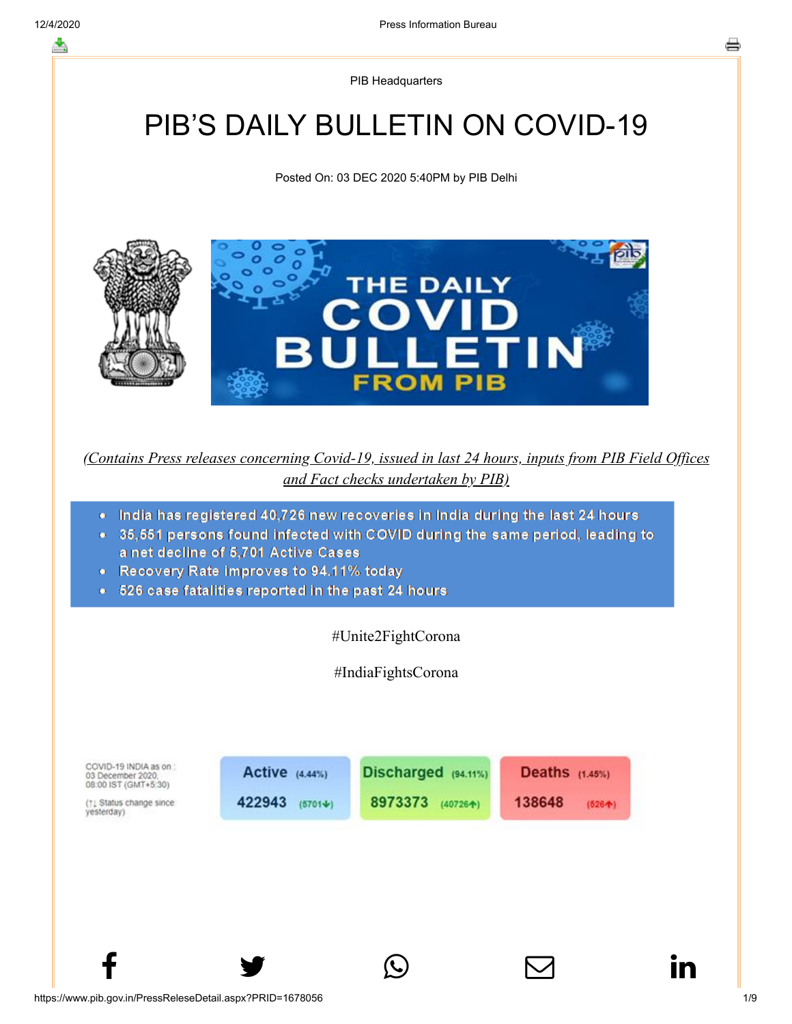PIB Headquarters

# PIB'S DAILY BULLETIN ON COVID-19

Posted On: 03 DEC 2020 5:40PM by PIB Delhi



*(Contains Press releases concerning Covid-19, issued in last 24 hours, inputs from PIB Field Offices and Fact checks undertaken by PIB)*

- India has registered 40,726 new recoveries in India during the last 24 hours
- 35,551 persons found infected with COVID during the same period, leading to a net decline of 5,701 Active Cases
- Recovery Rate improves to 94.11% today
- 526 case fatalities reported in the past 24 hours

#Unite2FightCorona

#IndiaFightsCorona

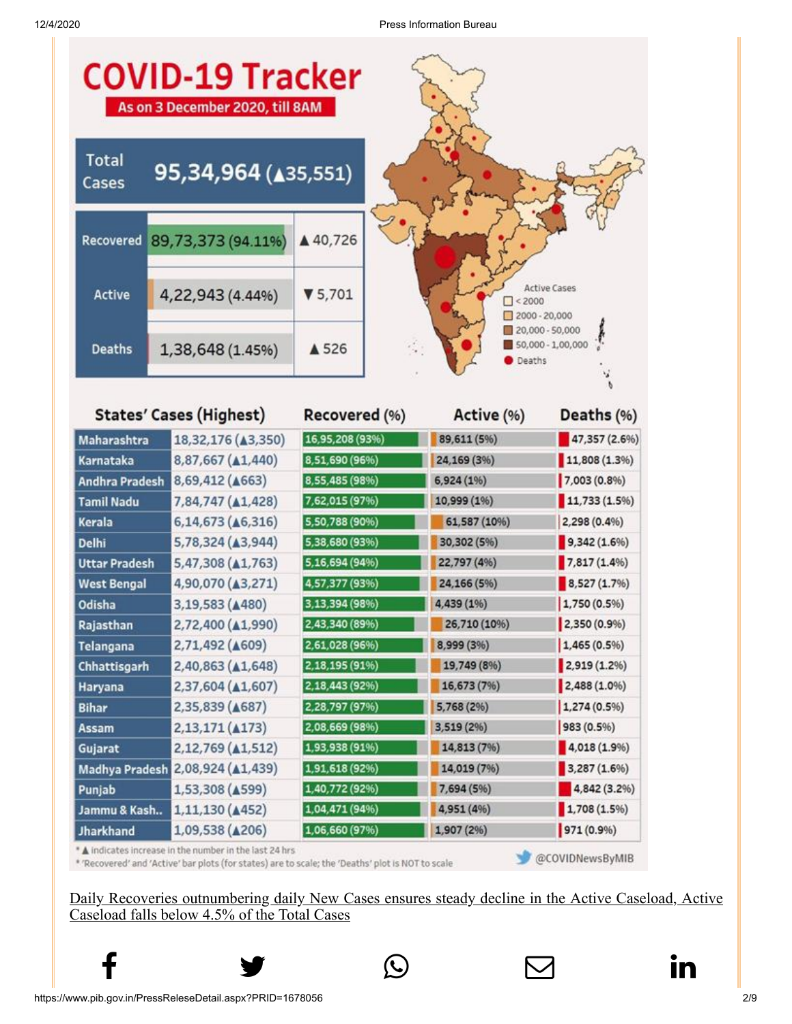

| <b>States' Cases (Highest)</b> |                                                        | Recovered (%)                                                                                   | Active (%)   | Deaths (%)      |
|--------------------------------|--------------------------------------------------------|-------------------------------------------------------------------------------------------------|--------------|-----------------|
| Maharashtra                    | 18,32,176 (43,350)                                     | 16,95,208 (93%)                                                                                 | 89,611 (5%)  | 47,357 (2.6%)   |
| Karnataka                      | 8,87,667 (A1,440)                                      | 8,51,690 (96%)                                                                                  | 24,169 (3%)  | $11,808(1.3\%)$ |
| <b>Andhra Pradesh</b>          | 8,69,412 ( $\triangle$ 663)                            | 8,55,485 (98%)                                                                                  | 6,924 (1%)   | 7,003 (0.8%)    |
| <b>Tamil Nadu</b>              | 7,84,747 ( $\triangle$ 1,428)                          | 7,62,015 (97%)                                                                                  | 10,999 (1%)  | 11,733(1.5%)    |
| Kerala                         | 6,14,673 (46,316)                                      | 5,50,788 (90%)                                                                                  | 61,587 (10%) | 2,298 (0.4%)    |
| Delhi                          | 5,78,324 (43,944)                                      | 5,38,680 (93%)                                                                                  | 30,302 (5%)  | $9,342(1.6\%)$  |
| <b>Uttar Pradesh</b>           | 5,47,308 (41,763)                                      | 5,16,694 (94%)                                                                                  | 22,797 (4%)  | $7,817(1.4\%)$  |
| <b>West Bengal</b>             | 4,90,070 (43,271)                                      | 4,57,377 (93%)                                                                                  | 24,166 (5%)  | 8,527(1.7%)     |
| Odisha                         | 3,19,583 (4480)                                        | 3,13,394 (98%)                                                                                  | 4,439 (1%)   | 1,750 (0.5%)    |
| Rajasthan                      | 2,72,400 (41,990)                                      | 2,43,340 (89%)                                                                                  | 26,710 (10%) | 2,350 (0.9%)    |
| Telangana                      | 2,71,492 ( $\triangle$ 609)                            | 2,61,028 (96%)                                                                                  | 8,999 (3%)   | $1,465(0.5\%)$  |
| Chhattisgarh                   | 2,40,863 (41,648)                                      | 2,18,195 (91%)                                                                                  | 19,749 (8%)  | $2,919(1.2\%)$  |
| Haryana                        | 2,37,604 ( $\triangle$ 1,607)                          | 2,18,443 (92%)                                                                                  | 16,673 (7%)  | $2,488(1.0\%)$  |
| Bihar                          | 2,35,839 ( $\triangle$ 687)                            | 2,28,797 (97%)                                                                                  | 5,768 (2%)   | 1,274(0.5%)     |
| <b>Assam</b>                   | 2,13,171 ( $\triangle$ 173)                            | 2,08,669 (98%)                                                                                  | 3,519 (2%)   | 983 (0.5%)      |
| Gujarat                        | 2,12,769 ( $\triangle$ 1,512)                          | 1,93,938 (91%)                                                                                  | 14,813 (7%)  | 4,018(1.9%      |
| <b>Madhya Pradesh</b>          | 2,08,924 ( $\triangle$ 1,439)                          | 1,91,618 (92%)                                                                                  | 14,019 (7%)  | 3,287(1.6%)     |
| Punjab                         | 1,53,308 (4599)                                        | 1,40,772 (92%)                                                                                  | 7,694 (5%)   | 4,842 (3.2%)    |
| Jammu & Kash                   | 1,11,130 ( $\triangle$ 452)                            | 1,04,471 (94%)                                                                                  | 4,951 (4%)   | 1,708(1.5%)     |
| Jharkhand                      | 1,09,538 ( $\triangle$ 206)                            | 1,06,660 (97%)                                                                                  | 1,907 (2%)   | 971 (0.9%)      |
|                                | A indicates increase in the number in the last 24 hrs. | 'Decouered' and 'Active' has plote (for states) are to scale the 'Deaths' plot is NOT to scale. |              | @COVIDNewsByMIB |

\* 'Recovered' and 'Active' bar plots (for states) are to scale; the 'Deaths' plot is NOT to scale

Daily Recoveries outnumbering daily New Cases ensures steady decline in the Active Caseload, Active Caseload falls below 4.5% of the Total Cases

 $f$  y  $\circledcirc$   $\quad \circ$  in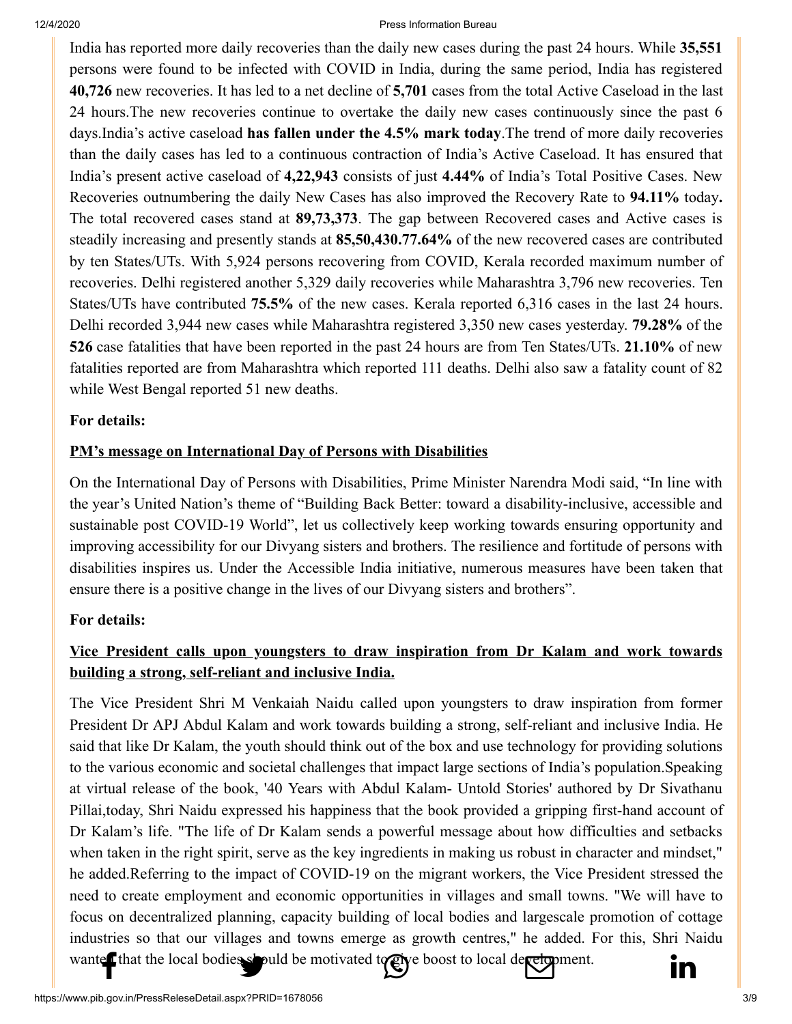#### 12/4/2020 Press Information Bureau

[India has reported](http://www.facebook.com/share.php?u=https://pib.gov.in/PressReleasePage.aspx?PRID=1678056) [more daily recoveries](https://twitter.com/intent/tweet?url=https://pib.gov.in/PressReleasePage.aspx?PRID=1678056&text=PIB%E2%80%99S%20DAILY%20BULLETIN%20ON%20COVID-19) [than the daily new case](https://api.whatsapp.com/send?text=https://pib.gov.in/PressReleasePage.aspx?PRID=1678056)[s during the past 24 ho](https://mail.google.com/mail/?view=cm&fs=1&tf=1&to=&su=PIB%E2%80%99S%20DAILY%20BULLETIN%20ON%20COVID-19&body=https://pib.gov.in/PressReleasePage.aspx?PRID=1678056&ui=2&tf=1&pli=1)[urs. While](https://www.linkedin.com/shareArticle?mini=true&url=https://pib.gov.in/PressReleasePage.aspx?PRID=1678056&title=PIB%E2%80%99S%20DAILY%20BULLETIN%20ON%20COVID-19&summary=My%20favorite%20developer%20program&source=LinkedIn) **35,551** persons were found to be infected with COVID in India, during the same period, India has registered **40,726** new recoveries. It has led to a net decline of **5,701** cases from the total Active Caseload in the last 24 hours.The new recoveries continue to overtake the daily new cases continuously since the past 6 days.India's active caseload **has fallen under the 4.5% mark today**.The trend of more daily recoveries than the daily cases has led to a continuous contraction of India's Active Caseload. It has ensured that India's present active caseload of **4,22,943** consists of just **4.44%** of India's Total Positive Cases. New Recoveries outnumbering the daily New Cases has also improved the Recovery Rate to **94.11%** today**.** The total recovered cases stand at **89,73,373**. The gap between Recovered cases and Active cases is steadily increasing and presently stands at **85,50,430.77.64%** of the new recovered cases are contributed by ten States/UTs. With 5,924 persons recovering from COVID, Kerala recorded maximum number of recoveries. Delhi registered another 5,329 daily recoveries while Maharashtra 3,796 new recoveries. Ten States/UTs have contributed **75.5%** of the new cases. Kerala reported 6,316 cases in the last 24 hours. Delhi recorded 3,944 new cases while Maharashtra registered 3,350 new cases yesterday. **79.28%** of the **526** case fatalities that have been reported in the past 24 hours are from Ten States/UTs. **21.10%** of new fatalities reported are from Maharashtra which reported 111 deaths. Delhi also saw a fatality count of 82 while West Bengal reported 51 new deaths.

#### **[For details:](https://pib.gov.in/PressReleasePage.aspx?PRID=1677931)**

#### **PM's message on International Day of Persons with Disabilities**

On the International Day of Persons with Disabilities, Prime Minister Narendra Modi said, "In line with the year'[s](https://www.google.com/url?q=https%3A%2F%2Ftwitter.com%2FUN&sa=D&sntz=1&usg=AFQjCNGhSggpjC2L1ODnxbups5EEpmV9iQ) United Nation's theme of "Building Back Better: toward a disability-inclusive, accessible and sustainable post COVID-19 World", let us collectively keep working towards ensuring opportunity and improving accessibility for our Divyang sisters and brothers. The resilience and fortitude of persons with disabilities inspires us. Under the Accessible India initiative, numerous measures have been taken that ensure there is a positive change in the lives of our Divyang sisters and brothers".

#### **[For details:](https://pib.gov.in/PressReleasePage.aspx?PRID=1677913)**

## **Vice President calls upon youngsters to draw inspiration from Dr Kalam and work towards building a strong, self-reliant and inclusive India.**

The Vice President Shri M Venkaiah Naidu called upon youngsters to draw inspiration from former President Dr APJ Abdul Kalam and work towards building a strong, self-reliant and inclusive India. He said that like Dr Kalam, the youth should think out of the box and use technology for providing solutions to the various economic and societal challenges that impact large sections of India's population.Speaking at virtual release of the book, '40 Years with Abdul Kalam- Untold Stories' authored by Dr Sivathanu Pillai,today, Shri Naidu expressed his happiness that the book provided a gripping first-hand account of Dr Kalam's life. "The life of Dr Kalam sends a powerful message about how difficulties and setbacks when taken in the right spirit, serve as the key ingredients in making us robust in character and mindset," he added.Referring to the impact of COVID-19 on the migrant workers, the Vice President stressed the need to create employment and economic opportunities in villages and small towns. "We will have to focus on decentralized planning, capacity building of local bodies and largescale promotion of cottage industries so that our villages and towns emerge as growth centres," he added. Fo[r this, Shri Naidu](https://www.linkedin.com/shareArticle?mini=true&url=https://pib.gov.in/PressReleasePage.aspx?PRID=1678056&title=PIB%E2%80%99S%20DAILY%20BULLETIN%20ON%20COVID-19&summary=My%20favorite%20developer%20program&source=LinkedIn) [wanted that the lo](http://www.facebook.com/share.php?u=https://pib.gov.in/PressReleasePage.aspx?PRID=1678056)[cal bodies should be m](https://twitter.com/intent/tweet?url=https://pib.gov.in/PressReleasePage.aspx?PRID=1678056&text=PIB%E2%80%99S%20DAILY%20BULLETIN%20ON%20COVID-19)[otivated to give boost t](https://api.whatsapp.com/send?text=https://pib.gov.in/PressReleasePage.aspx?PRID=1678056)[o local development.](https://mail.google.com/mail/?view=cm&fs=1&tf=1&to=&su=PIB%E2%80%99S%20DAILY%20BULLETIN%20ON%20COVID-19&body=https://pib.gov.in/PressReleasePage.aspx?PRID=1678056&ui=2&tf=1&pli=1)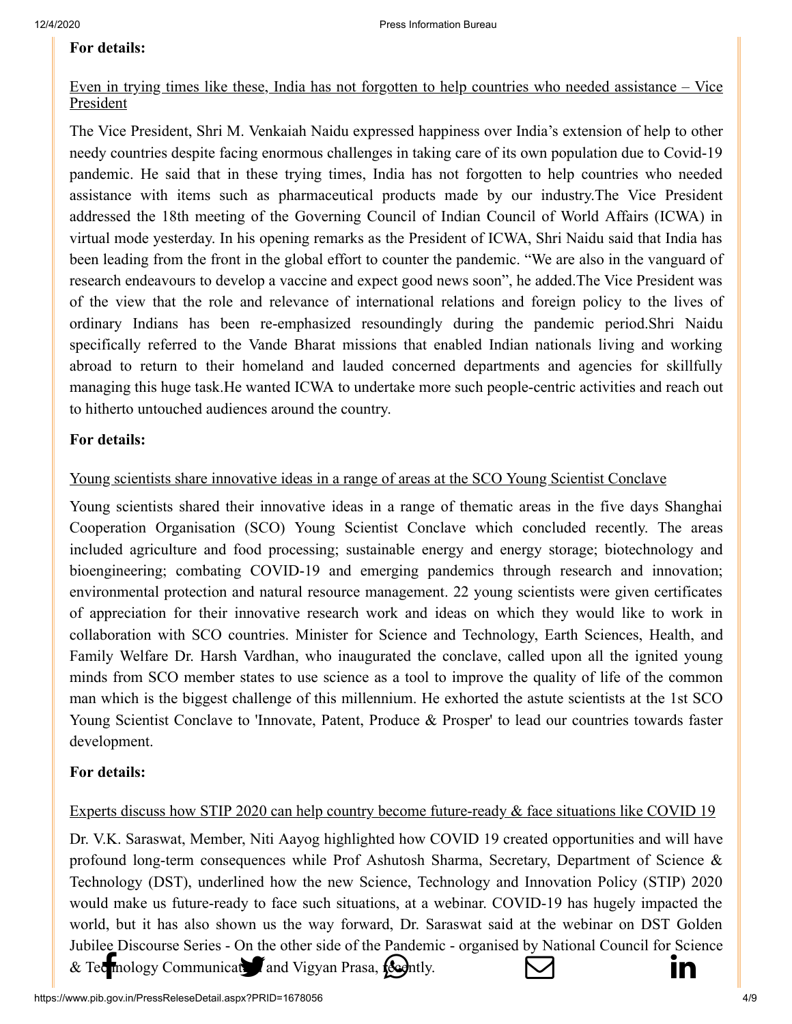#### **[For details:](https://pib.gov.in/PressReleseDetail.aspx?PRID=1677959)**

## Even in trying times like these, India has not forgotten to help countries who needed assistance – Vice **President**

The Vice President, Shri M. Venkaiah Naidu expressed happiness over India's extension of help to other needy countries despite facing enormous challenges in taking care of its own population due to Covid-19 pandemic. He said that in these trying times, India has not forgotten to help countries who needed assistance with items such as pharmaceutical products made by our industry.The Vice President addressed the 18th meeting of the Governing Council of Indian Council of World Affairs (ICWA) in virtual mode yesterday. In his opening remarks as the President of ICWA, Shri Naidu said that India has been leading from the front in the global effort to counter the pandemic. "We are also in the vanguard of research endeavours to develop a vaccine and expect good news soon", he added.The Vice President was of the view that the role and relevance of international relations and foreign policy to the lives of ordinary Indians has been re-emphasized resoundingly during the pandemic period.Shri Naidu specifically referred to the Vande Bharat missions that enabled Indian nationals living and working abroad to return to their homeland and lauded concerned departments and agencies for skillfully managing this huge task.He wanted ICWA to undertake more such people-centric activities and reach out to hitherto untouched audiences around the country.

#### **[For details:](https://pib.gov.in/PressReleasePage.aspx?PRID=1677732)**

#### Young scientists share innovative ideas in a range of areas at the SCO Young Scientist Conclave

Young scientists shared their innovative ideas in a range of thematic areas in the five days Shanghai Cooperation Organisation (SCO) Young Scientist Conclave which concluded recently. The areas included agriculture and food processing; sustainable energy and energy storage; biotechnology and bioengineering; combating COVID-19 and emerging pandemics through research and innovation; environmental protection and natural resource management. 22 young scientists were given certificates of appreciation for their innovative research work and ideas on which they would like to work in collaboration with SCO countries. Minister for Science and Technology, Earth Sciences, Health, and Family Welfare Dr. Harsh Vardhan, who inaugurated the conclave, called upon all the ignited young minds from SCO member states to use science as a tool to improve the quality of life of the common man which is the biggest challenge of this millennium. He exhorted the astute scientists at the 1st SCO Young Scientist Conclave to 'Innovate, Patent, Produce & Prosper' to lead our countries towards faster development.

#### **[For details:](https://pib.gov.in/PressReleseDetail.aspx?PRID=1678026)**

#### Experts discuss how STIP 2020 can help country become future-ready & face situations like COVID 19

Dr. V.K. Saraswat, Member, Niti Aayog highlighted how COVID 19 created opportunities and will have profound long-term consequences while Prof Ashutosh Sharma, Secretary, Department of Science & Technology (DST), underlined how the new Science, Technology and Innovation Policy (STIP) 2020 would make us future-ready to face such situations, at a webinar. COVID-19 has hugely impacted the world, but it has also shown us the way forward, Dr. Saraswat said at the webinar on DST Golden Jubilee Discourse [Series - On the other si](https://twitter.com/intent/tweet?url=https://pib.gov.in/PressReleasePage.aspx?PRID=1678056&text=PIB%E2%80%99S%20DAILY%20BULLETIN%20ON%20COVID-19)[de of the Pandemic - o](https://api.whatsapp.com/send?text=https://pib.gov.in/PressReleasePage.aspx?PRID=1678056)[rganised by National C](https://mail.google.com/mail/?view=cm&fs=1&tf=1&to=&su=PIB%E2%80%99S%20DAILY%20BULLETIN%20ON%20COVID-19&body=https://pib.gov.in/PressReleasePage.aspx?PRID=1678056&ui=2&tf=1&pli=1)[ouncil for Science](https://www.linkedin.com/shareArticle?mini=true&url=https://pib.gov.in/PressReleasePage.aspx?PRID=1678056&title=PIB%E2%80%99S%20DAILY%20BULLETIN%20ON%20COVID-19&summary=My%20favorite%20developer%20program&source=LinkedIn) [& Technology Com](http://www.facebook.com/share.php?u=https://pib.gov.in/PressReleasePage.aspx?PRID=1678056)munication and Vigyan Prasa,  $f_{\text{eq}}$  and Vigyan Prasa,  $f_{\text{eq}}$  ightly  $\Box$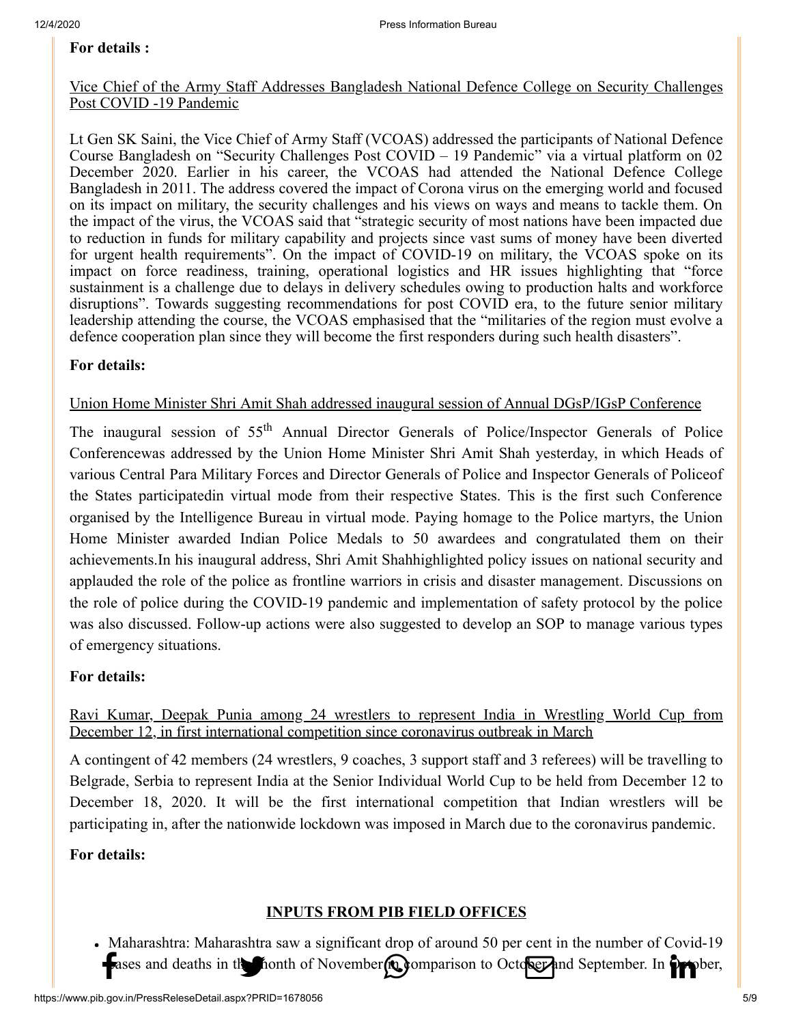#### **[For details :](https://pib.gov.in/PressReleseDetail.aspx?PRID=1678025)**

#### Vice Chief of the Army Staff Addresses Bangladesh National Defence College on Security Challenges Post COVID -19 Pandemic

Lt Gen SK Saini, the Vice Chief of Army Staff (VCOAS) addressed the participants of National Defence Course Bangladesh on "Security Challenges Post COVID – 19 Pandemic" via a virtual platform on 02 December 2020. Earlier in his career, the VCOAS had attended the National Defence College Bangladesh in 2011. The address covered the impact of Corona virus on the emerging world and focused on its impact on military, the security challenges and his views on ways and means to tackle them. On the impact of the virus, the VCOAS said that "strategic security of most nations have been impacted due to reduction in funds for military capability and projects since vast sums of money have been diverted for urgent health requirements". On the impact of COVID-19 on military, the VCOAS spoke on its impact on force readiness, training, operational logistics and HR issues highlighting that "force sustainment is a challenge due to delays in delivery schedules owing to production halts and workforce disruptions". Towards suggesting recommendations for post COVID era, to the future senior military leadership attending the course, the VCOAS emphasised that the "militaries of the region must evolve a defence cooperation plan since they will become the first responders during such health disasters".

#### **[For details:](https://pib.gov.in/PressReleasePage.aspx?PRID=1677719)**

#### Union Home Minister Shri Amit Shah addressed inaugural session of Annual DGsP/IGsP Conference

The inaugural session of 55<sup>th</sup> Annual Director Generals of Police/Inspector Generals of Police Conferencewas addressed by the Union Home Minister Shri Amit Shah yesterday, in which Heads of various Central Para Military Forces and Director Generals of Police and Inspector Generals of Policeof the States participatedin virtual mode from their respective States. This is the first such Conference organised by the Intelligence Bureau in virtual mode. Paying homage to the Police martyrs, the Union Home Minister awarded Indian Police Medals to 50 awardees and congratulated them on their achievements.In his inaugural address, Shri Amit Shahhighlighted policy issues on national security and applauded the role of the police as frontline warriors in crisis and disaster management. Discussions on the role of police during the COVID-19 pandemic and implementation of safety protocol by the police was also discussed. Follow-up actions were also suggested to develop an SOP to manage various types of emergency situations.

#### **[For details:](https://pib.gov.in/PressReleasePage.aspx?PRID=1677841)**

#### Ravi Kumar, Deepak Punia among 24 wrestlers to represent India in Wrestling World Cup from December 12, in first international competition since coronavirus outbreak in March

A contingent of 42 members (24 wrestlers, 9 coaches, 3 support staff and 3 referees) will be travelling to Belgrade, Serbia to represent India at the Senior Individual World Cup to be held from December 12 to December 18, 2020. It will be the first international competition that Indian wrestlers will be participating in, after the nationwide lockdown was imposed in March due to the coronavirus pandemic.

#### **[For details:](https://pib.gov.in/PressReleasePage.aspx?PRID=1678035)**

#### **INPUTS FROM PIB FIELD OFFICES**

Maharashtra: Maharashtra saw a significant drop of around 50 per cent in the number of Covid-19 Fases and d[eaths in the month of N](https://twitter.com/intent/tweet?url=https://pib.gov.in/PressReleasePage.aspx?PRID=1678056&text=PIB%E2%80%99S%20DAILY%20BULLETIN%20ON%20COVID-19)ovember **of Comparison** to Octo<mark>ber</mark> and September. In Orrober,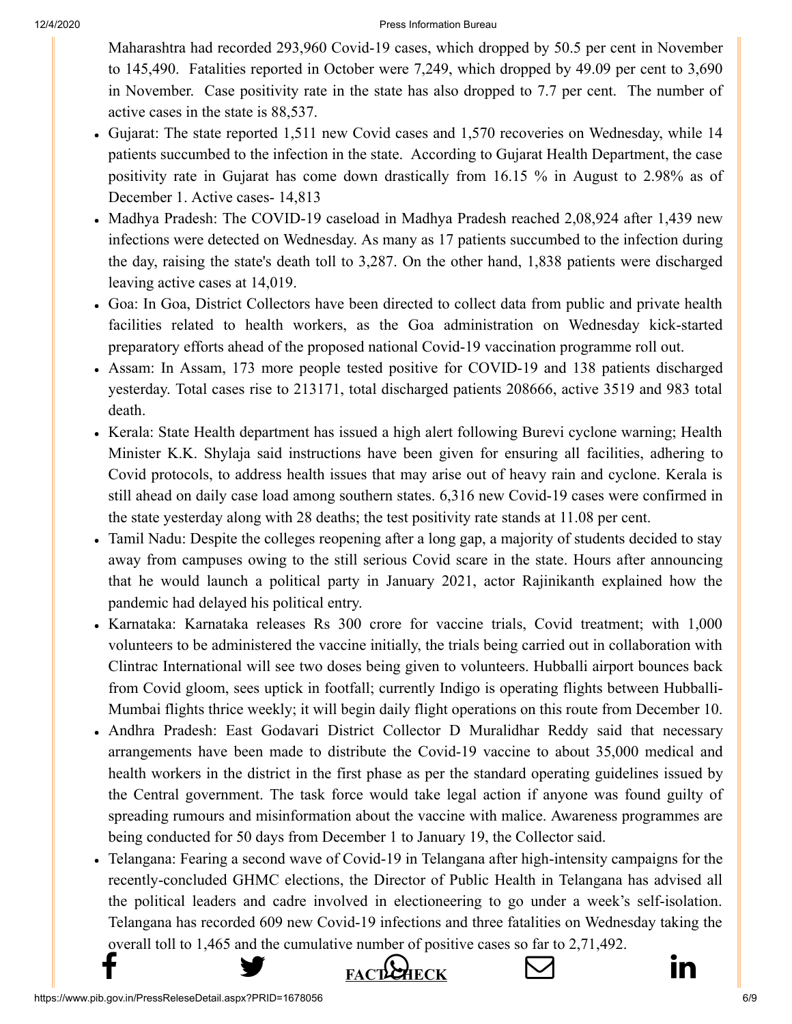#### 12/4/2020 Press Information Bureau

[Maharashtr](http://www.facebook.com/share.php?u=https://pib.gov.in/PressReleasePage.aspx?PRID=1678056)[a had recorded 293,960](https://twitter.com/intent/tweet?url=https://pib.gov.in/PressReleasePage.aspx?PRID=1678056&text=PIB%E2%80%99S%20DAILY%20BULLETIN%20ON%20COVID-19) [Covid-19 cases, whic](https://api.whatsapp.com/send?text=https://pib.gov.in/PressReleasePage.aspx?PRID=1678056)[h dropped by 50.5 per](https://mail.google.com/mail/?view=cm&fs=1&tf=1&to=&su=PIB%E2%80%99S%20DAILY%20BULLETIN%20ON%20COVID-19&body=https://pib.gov.in/PressReleasePage.aspx?PRID=1678056&ui=2&tf=1&pli=1) [cent in November](https://www.linkedin.com/shareArticle?mini=true&url=https://pib.gov.in/PressReleasePage.aspx?PRID=1678056&title=PIB%E2%80%99S%20DAILY%20BULLETIN%20ON%20COVID-19&summary=My%20favorite%20developer%20program&source=LinkedIn) to 145,490. Fatalities reported in October were 7,249, which dropped by 49.09 per cent to 3,690 in November. Case positivity rate in the state has also dropped to 7.7 per cent. The number of active cases in the state is 88,537.

- Gujarat: The state reported 1,511 new Covid cases and 1,570 recoveries on Wednesday, while 14 patients succumbed to the infection in the state. According to Gujarat Health Department, the case positivity rate in Gujarat has come down drastically from 16.15 % in August to 2.98% as of December 1. Active cases- 14,813
- Madhya Pradesh: The COVID-19 caseload in Madhya Pradesh reached 2,08,924 after 1,439 new infections were detected on Wednesday. As many as 17 patients succumbed to the infection during the day, raising the state's death toll to 3,287. On the other hand, 1,838 patients were discharged leaving active cases at 14,019.
- Goa: In Goa, District Collectors have been directed to collect data from public and private health facilities related to health workers, as the Goa administration on Wednesday kick-started preparatory efforts ahead of the proposed national Covid-19 vaccination programme roll out.
- Assam: In Assam, 173 more people tested positive for COVID-19 and 138 patients discharged yesterday. Total cases rise to 213171, total discharged patients 208666, active 3519 and 983 total death.
- Kerala: State Health department has issued a high alert following Burevi cyclone warning; Health Minister K.K. Shylaja said instructions have been given for ensuring all facilities, adhering to Covid protocols, to address health issues that may arise out of heavy rain and cyclone. Kerala is still ahead on daily case load among southern states. 6,316 new Covid-19 cases were confirmed in the state yesterday along with 28 deaths; the test positivity rate stands at 11.08 per cent.
- Tamil Nadu: Despite the colleges reopening after a long gap, a majority of students decided to stay away from campuses owing to the still serious Covid scare in the state. Hours after announcing that he would launch a political party in January 2021, actor Rajinikanth explained how the pandemic had delayed his political entry.
- Karnataka: Karnataka releases Rs 300 crore for vaccine trials, Covid treatment; with 1,000 volunteers to be administered the vaccine initially, the trials being carried out in collaboration with Clintrac International will see two doses being given to volunteers. Hubballi airport bounces back from Covid gloom, sees uptick in footfall; currently Indigo is operating flights between Hubballi-Mumbai flights thrice weekly; it will begin daily flight operations on this route from December 10.
- Andhra Pradesh: East Godavari District Collector D Muralidhar Reddy said that necessary arrangements have been made to distribute the Covid-19 vaccine to about 35,000 medical and health workers in the district in the first phase as per the standard operating guidelines issued by the Central government. The task force would take legal action if anyone was found guilty of spreading rumours and misinformation about the vaccine with malice. Awareness programmes are being conducted for 50 days from December 1 to January 19, the Collector said.
- Telangana: Fearing a second wave of Covid-19 in Telangana after high-intensity campaigns for the recently-concluded GHMC elections, the Director of Public Health in Telangana has advised all the political leaders and cadre involved in electioneering to go under a week's self-isolation. Telangana has recorded 609 new Covid-19 infections and three fatalities on Wednesday taking the [overall toll](http://www.facebook.com/share.php?u=https://pib.gov.in/PressReleasePage.aspx?PRID=1678056) [to 1,465 and the cumul](https://twitter.com/intent/tweet?url=https://pib.gov.in/PressReleasePage.aspx?PRID=1678056&text=PIB%E2%80%99S%20DAILY%20BULLETIN%20ON%20COVID-19)[ative number of positiv](https://api.whatsapp.com/send?text=https://pib.gov.in/PressReleasePage.aspx?PRID=1678056)[e cases so far to 2,71,49](https://mail.google.com/mail/?view=cm&fs=1&tf=1&to=&su=PIB%E2%80%99S%20DAILY%20BULLETIN%20ON%20COVID-19&body=https://pib.gov.in/PressReleasePage.aspx?PRID=1678056&ui=2&tf=1&pli=1)2.



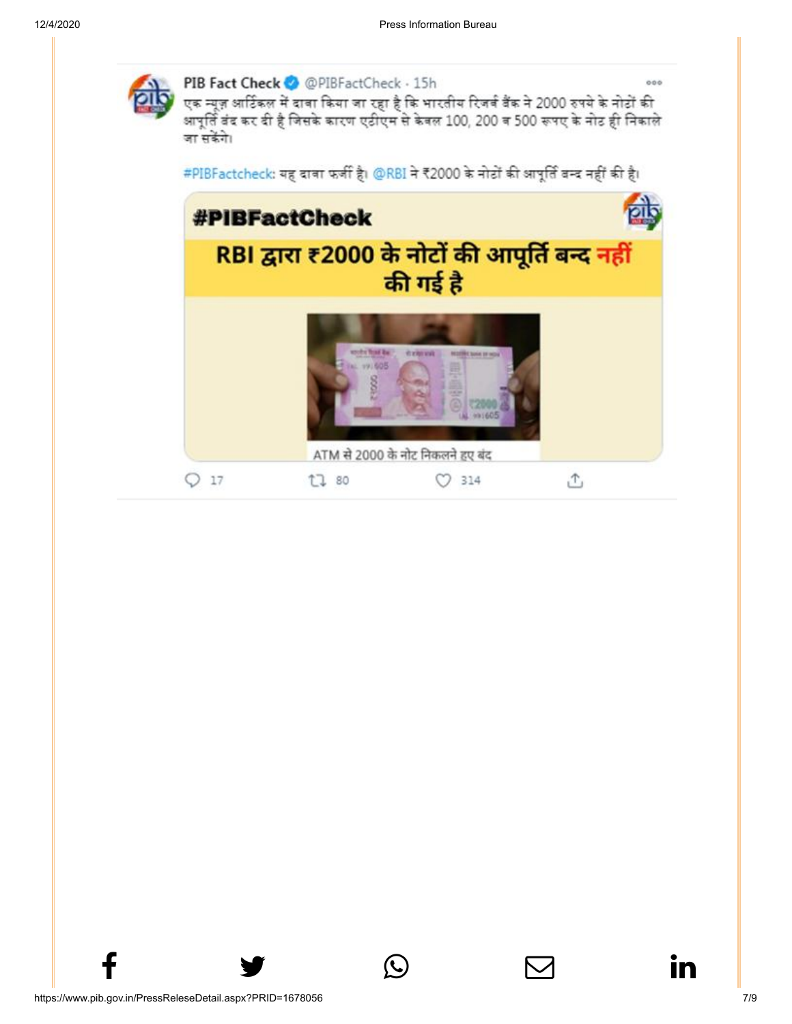

ATM से 2000 के नोट निकलने हुए बंद

 $O$  314

凸

t7 80

 $f$  y  $\circledcirc$   $\quad \circ$  in

 $Q<sub>17</sub>$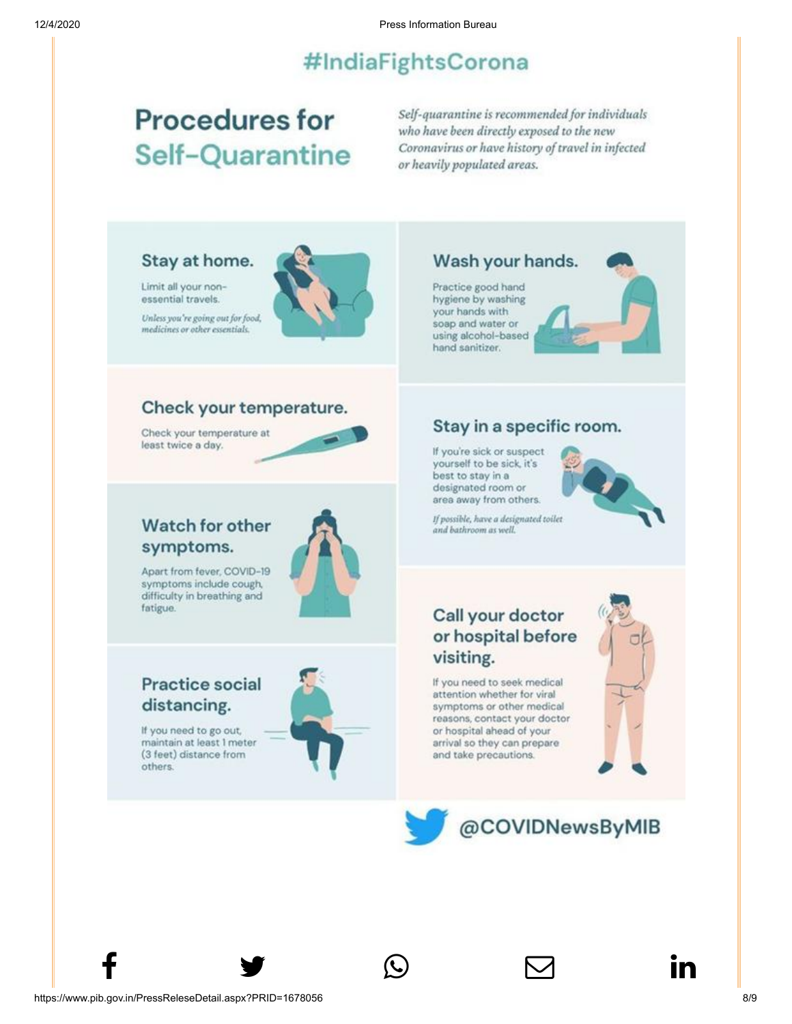# #IndiaFightsCorona

# **Procedures for Self-Quarantine**

Self-quarantine is recommended for individuals who have been directly exposed to the new Coronavirus or have history of travel in infected or heavily populated areas.

## Stay at home.

Limit all your nonessential travels.

Unless you're going out for food, medicines or other essentials.



## Check your temperature.

Check your temperature at least twice a day.



# Watch for other symptoms.

Apart from fever, COVID-19 symptoms include cough, difficulty in breathing and fatigue.



# **Practice social** distancing.

If you need to go out, maintain at least 1 meter (3 feet) distance from others.



 $f$  y  $\circledcirc$   $\quad \circ$  in

## Wash your hands.

Practice good hand hygiene by washing your hands with soap and water or using alcohol-based hand sanitizer.



## Stay in a specific room.

If you're sick or suspect yourself to be sick, it's best to stay in a designated room or area away from others.



If possible, have a designated toilet and bathroom as well.

# Call your doctor or hospital before visiting.

If you need to seek medical attention whether for viral symptoms or other medical reasons, contact your doctor or hospital ahead of your arrival so they can prepare and take precautions.